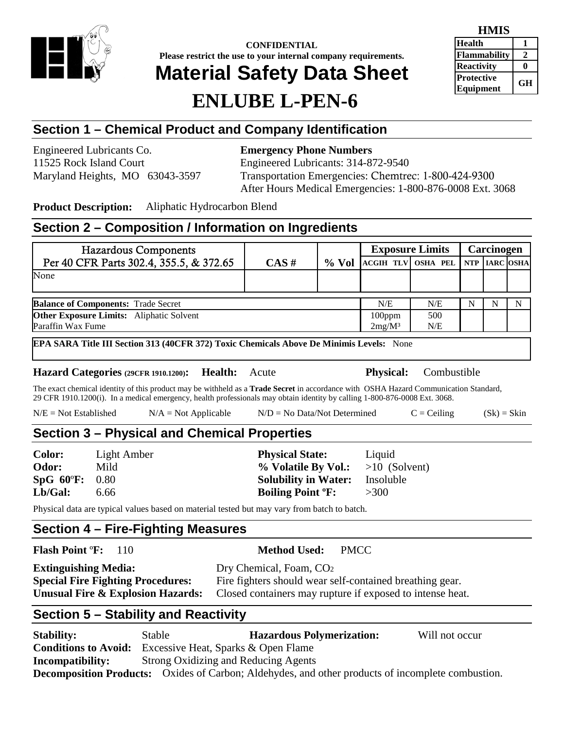

**CONFIDENTIAL Please restrict the use to your internal company requirements.**

# **Material Safety Data Sheet**

# **ENLUBE L-PEN-6**

| HIVITS              |    |  |  |
|---------------------|----|--|--|
| <b>Health</b>       |    |  |  |
| <b>Flammability</b> | Ζ. |  |  |
| <b>Reactivity</b>   |    |  |  |
| <b>Protective</b>   | GН |  |  |
| <b>Equipment</b>    |    |  |  |

# **Section 1 – Chemical Product and Company Identification**

Engineered Lubricants Co. **Emergency Phone Numbers** 11525 Rock Island Court Engineered Lubricants: 314-872-9540

Maryland Heights, MO 63043-3597 Transportation Emergencies: Chemtrec: 1-800-424-9300 After Hours Medical Emergencies: 1-800-876-0008 Ext. 3068

**Product Description:** Aliphatic Hydrocarbon Blend

# **Section 2 – Composition / Information on Ingredients**

|                                                                                                                      | <b>Hazardous Components</b>                                                                                                                                                                                                                                               |                 | <b>Exposure Limits</b>      |             |                  | Carcinogen      |            |                  |   |
|----------------------------------------------------------------------------------------------------------------------|---------------------------------------------------------------------------------------------------------------------------------------------------------------------------------------------------------------------------------------------------------------------------|-----------------|-----------------------------|-------------|------------------|-----------------|------------|------------------|---|
|                                                                                                                      | Per 40 CFR Parts 302.4, 355.5, & 372.65                                                                                                                                                                                                                                   |                 | CAS#                        | $%$ Vol     | <b>ACGIH TLV</b> | <b>OSHA PEL</b> | <b>NTP</b> | <b>IARC OSHA</b> |   |
| None                                                                                                                 |                                                                                                                                                                                                                                                                           |                 |                             |             |                  |                 |            |                  |   |
|                                                                                                                      |                                                                                                                                                                                                                                                                           |                 |                             |             |                  |                 |            |                  |   |
|                                                                                                                      | <b>Balance of Components: Trade Secret</b>                                                                                                                                                                                                                                |                 |                             |             | N/E              | N/E             | N          | $\mathbf N$      | N |
| <b>Other Exposure Limits:</b> Aliphatic Solvent                                                                      |                                                                                                                                                                                                                                                                           |                 |                             |             | 100ppm           | 500             |            |                  |   |
| Paraffin Wax Fume                                                                                                    |                                                                                                                                                                                                                                                                           |                 |                             |             | $2mg/M^3$        | N/E             |            |                  |   |
|                                                                                                                      | EPA SARA Title III Section 313 (40CFR 372) Toxic Chemicals Above De Minimis Levels: None                                                                                                                                                                                  |                 |                             |             |                  |                 |            |                  |   |
|                                                                                                                      | Hazard Categories (29CFR 1910.1200):                                                                                                                                                                                                                                      | Health:         | Acute                       |             | <b>Physical:</b> | Combustible     |            |                  |   |
|                                                                                                                      | The exact chemical identity of this product may be withheld as a <b>Trade Secret</b> in accordance with OSHA Hazard Communication Standard,<br>29 CFR 1910.1200(i). In a medical emergency, health professionals may obtain identity by calling 1-800-876-0008 Ext. 3068. |                 |                             |             |                  |                 |            |                  |   |
| $N/E = Not Established$<br>$N/D = No Data/Not Determine$<br>$N/A = Not Applicable$<br>$C = Ceiling$<br>$(Sk) = Skin$ |                                                                                                                                                                                                                                                                           |                 |                             |             |                  |                 |            |                  |   |
|                                                                                                                      | Section 3 – Physical and Chemical Properties                                                                                                                                                                                                                              |                 |                             |             |                  |                 |            |                  |   |
| <b>Color:</b>                                                                                                        | Light Amber                                                                                                                                                                                                                                                               |                 | <b>Physical State:</b>      |             | Liquid           |                 |            |                  |   |
| Mild<br>Odor:<br>% Volatile By Vol.:                                                                                 |                                                                                                                                                                                                                                                                           | $>10$ (Solvent) |                             |             |                  |                 |            |                  |   |
| $SpG$ 60°F:                                                                                                          | 0.80                                                                                                                                                                                                                                                                      |                 | <b>Solubility in Water:</b> |             | Insoluble        |                 |            |                  |   |
| Lb/Gal:                                                                                                              | 6.66                                                                                                                                                                                                                                                                      |                 | <b>Boiling Point °F:</b>    |             | >300             |                 |            |                  |   |
|                                                                                                                      | Physical data are typical values based on material tested but may vary from batch to batch.                                                                                                                                                                               |                 |                             |             |                  |                 |            |                  |   |
|                                                                                                                      | Section 4 – Fire-Fighting Measures                                                                                                                                                                                                                                        |                 |                             |             |                  |                 |            |                  |   |
| <b>Flash Point °F:</b>                                                                                               | 110                                                                                                                                                                                                                                                                       |                 | <b>Method Used:</b>         | <b>PMCC</b> |                  |                 |            |                  |   |
|                                                                                                                      | Dry Chemical, Foam, CO <sub>2</sub><br><b>Extinguishing Media:</b>                                                                                                                                                                                                        |                 |                             |             |                  |                 |            |                  |   |
| <b>Special Fire Fighting Procedures:</b><br>Fire fighters should wear self-contained breathing gear.                 |                                                                                                                                                                                                                                                                           |                 |                             |             |                  |                 |            |                  |   |

# **Section 5 – Stability and Reactivity**

| <b>Stability:</b>           | Stable                                                                                                   | <b>Hazardous Polymerization:</b> | Will not occur |
|-----------------------------|----------------------------------------------------------------------------------------------------------|----------------------------------|----------------|
| <b>Conditions to Avoid:</b> | Excessive Heat, Sparks & Open Flame                                                                      |                                  |                |
| <b>Incompatibility:</b>     | Strong Oxidizing and Reducing Agents                                                                     |                                  |                |
|                             | <b>Decomposition Products:</b> Oxides of Carbon; Aldehydes, and other products of incomplete combustion. |                                  |                |

**Unusual Fire & Explosion Hazards:** Closed containers may rupture if exposed to intense heat.

**HMIS**